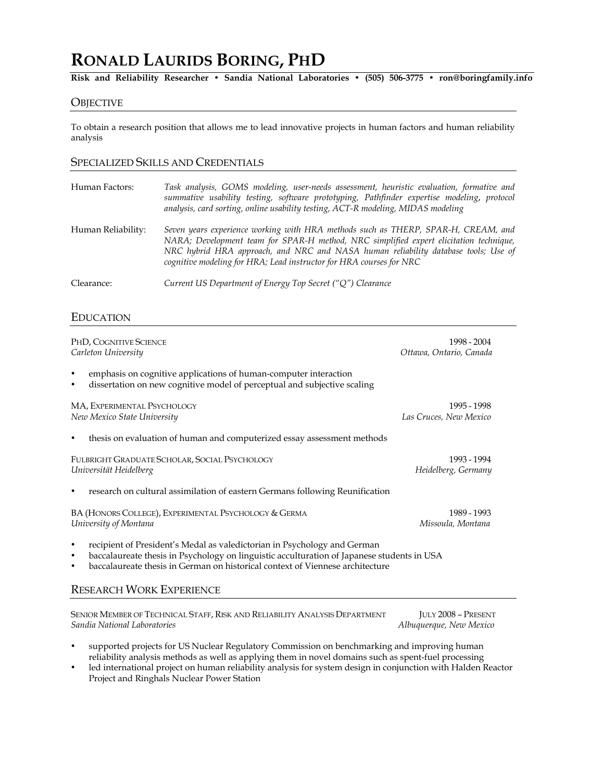# **RONALD LAURIDS BORING, PHD**

**Risk and Reliability Researcher • Sandia National Laboratories • (505) 506-3775 • ron@boringfamily.info**

## **OBJECTIVE**

To obtain a research position that allows me to lead innovative projects in human factors and human reliability analysis

# SPECIALIZED SKILLS AND CREDENTIALS

| Human Factors:     | Task analysis, GOMS modeling, user-needs assessment, heuristic evaluation, formative and<br>summative usability testing, software prototyping, Pathfinder expertise modeling, protocol<br>analysis, card sorting, online usability testing, ACT-R modeling, MIDAS modeling                                                               |
|--------------------|------------------------------------------------------------------------------------------------------------------------------------------------------------------------------------------------------------------------------------------------------------------------------------------------------------------------------------------|
| Human Reliability: | Seven years experience working with HRA methods such as THERP, SPAR-H, CREAM, and<br>NARA; Development team for SPAR-H method, NRC simplified expert elicitation technique,<br>NRC hybrid HRA approach, and NRC and NASA human reliability database tools; Use of<br>cognitive modeling for HRA; Lead instructor for HRA courses for NRC |
| Clearance:         | Current US Department of Energy Top Secret (" $Q$ ") Clearance                                                                                                                                                                                                                                                                           |

## EDUCATION

| PHD, COGNITIVE SCIENCE                                                                                                                                                                           | 1998 - 2004             |  |
|--------------------------------------------------------------------------------------------------------------------------------------------------------------------------------------------------|-------------------------|--|
| Carleton University                                                                                                                                                                              | Ottawa, Ontario, Canada |  |
| emphasis on cognitive applications of human-computer interaction<br>$\bullet$<br>dissertation on new cognitive model of perceptual and subjective scaling<br>$\bullet$                           |                         |  |
| MA, EXPERIMENTAL PSYCHOLOGY                                                                                                                                                                      | 1995 - 1998             |  |
| New Mexico State University                                                                                                                                                                      | Las Cruces, New Mexico  |  |
| thesis on evaluation of human and computerized essay assessment methods<br>٠                                                                                                                     |                         |  |
| FULBRIGHT GRADUATE SCHOLAR, SOCIAL PSYCHOLOGY                                                                                                                                                    | 1993 - 1994             |  |
| Universität Heidelberg                                                                                                                                                                           | Heidelberg, Germany     |  |
| research on cultural assimilation of eastern Germans following Reunification<br>$\bullet$                                                                                                        |                         |  |
| BA (HONORS COLLEGE), EXPERIMENTAL PSYCHOLOGY & GERMA                                                                                                                                             | 1989 - 1993             |  |
| University of Montana                                                                                                                                                                            | Missoula, Montana       |  |
| recipient of President's Medal as valedictorian in Psychology and German<br>$\bullet$<br>baccalaureate thesis in Psychology on linguistic acculturation of Japanese students in USA<br>$\bullet$ |                         |  |

• baccalaureate thesis in German on historical context of Viennese architecture

## RESEARCH WORK EXPERIENCE

SENIOR MEMBER OF TECHNICAL STAFF, RISK AND RELIABILITY ANALYSIS DEPARTMENT JULY 2008 – PRESENT *Sandia National Laboratories Albuquerque, New Mexico*

- supported projects for US Nuclear Regulatory Commission on benchmarking and improving human reliability analysis methods as well as applying them in novel domains such as spent-fuel processing
- led international project on human reliability analysis for system design in conjunction with Halden Reactor Project and Ringhals Nuclear Power Station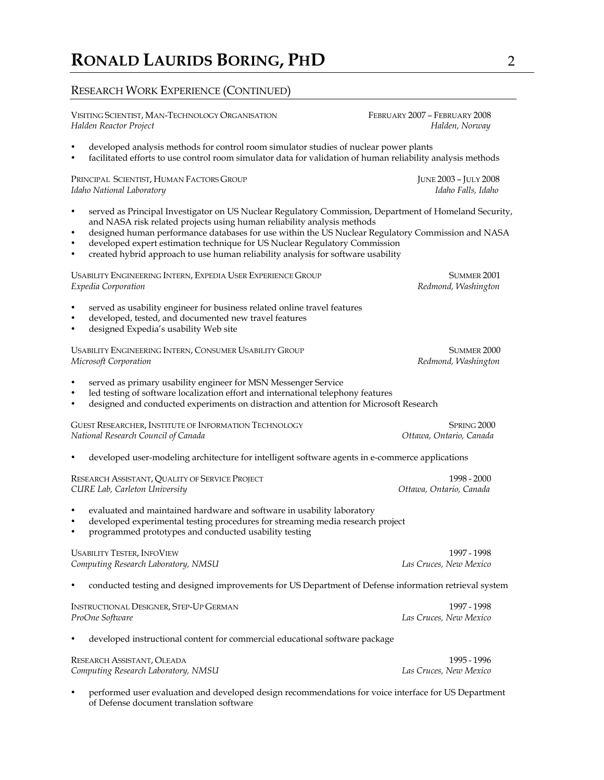# RESEARCH WORK EXPERIENCE (CONTINUED)

VISITING SCIENTIST, MAN-TECHNOLOGY ORGANISATION FEBRUARY 2007 – FEBRUARY 2008 *Halden Reactor Project Halden, Norway*

- developed analysis methods for control room simulator studies of nuclear power plants
- facilitated efforts to use control room simulator data for validation of human reliability analysis methods

PRINCIPAL SCIENTIST, HUMAN FACTORS GROUP JUNE 2003 – JULY 2008 *Idaho National Laboratory Idaho Falls, Idaho*

- served as Principal Investigator on US Nuclear Regulatory Commission, Department of Homeland Security, and NASA risk related projects using human reliability analysis methods
- designed human performance databases for use within the US Nuclear Regulatory Commission and NASA
- developed expert estimation technique for US Nuclear Regulatory Commission
- created hybrid approach to use human reliability analysis for software usability

| USABILITY ENGINEERING INTERN, EXPEDIA USER EXPERIENCE GROUP                                                                                                                                                                                                    | SUMMER 2001             |  |  |
|----------------------------------------------------------------------------------------------------------------------------------------------------------------------------------------------------------------------------------------------------------------|-------------------------|--|--|
| Expedia Corporation                                                                                                                                                                                                                                            | Redmond, Washington     |  |  |
| served as usability engineer for business related online travel features<br>developed, tested, and documented new travel features<br>designed Expedia's usability Web site                                                                                     |                         |  |  |
| USABILITY ENGINEERING INTERN, CONSUMER USABILITY GROUP                                                                                                                                                                                                         | SUMMER 2000             |  |  |
| Microsoft Corporation                                                                                                                                                                                                                                          | Redmond, Washington     |  |  |
| served as primary usability engineer for MSN Messenger Service<br>$\bullet$<br>led testing of software localization effort and international telephony features<br>designed and conducted experiments on distraction and attention for Microsoft Research<br>٠ |                         |  |  |
| GUEST RESEARCHER, INSTITUTE OF INFORMATION TECHNOLOGY                                                                                                                                                                                                          | SPRING <sub>2000</sub>  |  |  |
| National Research Council of Canada                                                                                                                                                                                                                            | Ottawa, Ontario, Canada |  |  |
| developed user-modeling architecture for intelligent software agents in e-commerce applications                                                                                                                                                                |                         |  |  |
| RESEARCH ASSISTANT, QUALITY OF SERVICE PROJECT                                                                                                                                                                                                                 | 1998 - 2000             |  |  |
| CURE Lab, Carleton University                                                                                                                                                                                                                                  | Ottawa, Ontario, Canada |  |  |
| evaluated and maintained hardware and software in usability laboratory<br>developed experimental testing procedures for streaming media research project<br>$\bullet$<br>programmed prototypes and conducted usability testing                                 |                         |  |  |
| <b>USABILITY TESTER, INFOVIEW</b>                                                                                                                                                                                                                              | 1997 - 1998             |  |  |
| Computing Research Laboratory, NMSU                                                                                                                                                                                                                            | Las Cruces, New Mexico  |  |  |
| conducted testing and designed improvements for US Department of Defense information retrieval system                                                                                                                                                          |                         |  |  |
| <b>INSTRUCTIONAL DESIGNER, STEP-UP GERMAN</b>                                                                                                                                                                                                                  | 1997 - 1998             |  |  |
| ProOne Software                                                                                                                                                                                                                                                | Las Cruces, New Mexico  |  |  |
| developed instructional content for commercial educational software package                                                                                                                                                                                    |                         |  |  |
| RESEARCH ASSISTANT, OLEADA                                                                                                                                                                                                                                     | 1995 - 1996             |  |  |
| Computing Research Laboratory, NMSU                                                                                                                                                                                                                            | Las Cruces, New Mexico  |  |  |

• performed user evaluation and developed design recommendations for voice interface for US Department of Defense document translation software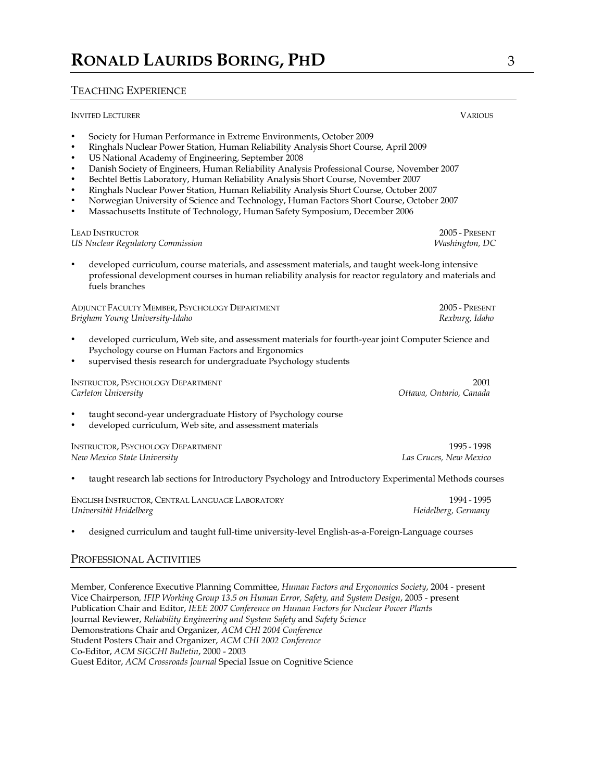# TEACHING EXPERIENCE

| <b>INVITED LECTURER</b>                                                                                                                                                                                                                                                                                                                                                                                                                                                                                                                                                                                                                                                                                                                                                          | <b>VARIOUS</b>                                                                                          |
|----------------------------------------------------------------------------------------------------------------------------------------------------------------------------------------------------------------------------------------------------------------------------------------------------------------------------------------------------------------------------------------------------------------------------------------------------------------------------------------------------------------------------------------------------------------------------------------------------------------------------------------------------------------------------------------------------------------------------------------------------------------------------------|---------------------------------------------------------------------------------------------------------|
| Society for Human Performance in Extreme Environments, October 2009<br>$\bullet$<br>Ringhals Nuclear Power Station, Human Reliability Analysis Short Course, April 2009<br>$\bullet$<br>US National Academy of Engineering, September 2008<br>$\bullet$<br>Danish Society of Engineers, Human Reliability Analysis Professional Course, November 2007<br>$\bullet$<br>Bechtel Bettis Laboratory, Human Reliability Analysis Short Course, November 2007<br>$\bullet$<br>Ringhals Nuclear Power Station, Human Reliability Analysis Short Course, October 2007<br>$\bullet$<br>Norwegian University of Science and Technology, Human Factors Short Course, October 2007<br>$\bullet$<br>Massachusetts Institute of Technology, Human Safety Symposium, December 2006<br>$\bullet$ |                                                                                                         |
| <b>LEAD INSTRUCTOR</b>                                                                                                                                                                                                                                                                                                                                                                                                                                                                                                                                                                                                                                                                                                                                                           | 2005 - PRESENT                                                                                          |
| US Nuclear Regulatory Commission                                                                                                                                                                                                                                                                                                                                                                                                                                                                                                                                                                                                                                                                                                                                                 | Washington, DC                                                                                          |
| $\bullet$                                                                                                                                                                                                                                                                                                                                                                                                                                                                                                                                                                                                                                                                                                                                                                        | developed curriculum, course materials, and assessment materials, and taught week-long intensive        |
| fuels branches                                                                                                                                                                                                                                                                                                                                                                                                                                                                                                                                                                                                                                                                                                                                                                   | professional development courses in human reliability analysis for reactor regulatory and materials and |
| ADJUNCT FACULTY MEMBER, PSYCHOLOGY DEPARTMENT                                                                                                                                                                                                                                                                                                                                                                                                                                                                                                                                                                                                                                                                                                                                    | 2005 - Present                                                                                          |
| Brigham Young University-Idaho                                                                                                                                                                                                                                                                                                                                                                                                                                                                                                                                                                                                                                                                                                                                                   | Rexburg, Idaho                                                                                          |
| $\bullet$<br>Psychology course on Human Factors and Ergonomics<br>supervised thesis research for undergraduate Psychology students<br>$\bullet$                                                                                                                                                                                                                                                                                                                                                                                                                                                                                                                                                                                                                                  | developed curriculum, Web site, and assessment materials for fourth-year joint Computer Science and     |
| <b>INSTRUCTOR, PSYCHOLOGY DEPARTMENT</b>                                                                                                                                                                                                                                                                                                                                                                                                                                                                                                                                                                                                                                                                                                                                         | 2001                                                                                                    |
| Carleton University                                                                                                                                                                                                                                                                                                                                                                                                                                                                                                                                                                                                                                                                                                                                                              | Ottawa, Ontario, Canada                                                                                 |
| taught second-year undergraduate History of Psychology course<br>$\bullet$<br>developed curriculum, Web site, and assessment materials<br>$\bullet$                                                                                                                                                                                                                                                                                                                                                                                                                                                                                                                                                                                                                              |                                                                                                         |
| <b>INSTRUCTOR, PSYCHOLOGY DEPARTMENT</b>                                                                                                                                                                                                                                                                                                                                                                                                                                                                                                                                                                                                                                                                                                                                         | 1995 - 1998                                                                                             |
| New Mexico State University                                                                                                                                                                                                                                                                                                                                                                                                                                                                                                                                                                                                                                                                                                                                                      | Las Cruces, New Mexico                                                                                  |
|                                                                                                                                                                                                                                                                                                                                                                                                                                                                                                                                                                                                                                                                                                                                                                                  | taught research lab sections for Introductory Psychology and Introductory Experimental Methods courses  |
| ENGLISH INSTRUCTOR, CENTRAL LANGUAGE LABORATORY                                                                                                                                                                                                                                                                                                                                                                                                                                                                                                                                                                                                                                                                                                                                  | 1994 - 1995                                                                                             |
| Universität Heidelberg                                                                                                                                                                                                                                                                                                                                                                                                                                                                                                                                                                                                                                                                                                                                                           | Heidelberg, Germany                                                                                     |
|                                                                                                                                                                                                                                                                                                                                                                                                                                                                                                                                                                                                                                                                                                                                                                                  |                                                                                                         |

• designed curriculum and taught full-time university-level English-as-a-Foreign-Language courses

# PROFESSIONAL ACTIVITIES

Member, Conference Executive Planning Committee, *Human Factors and Ergonomics Society*, 2004 - present Vice Chairperson*, IFIP Working Group 13.5 on Human Error, Safety, and System Design*, 2005 - present Publication Chair and Editor, *IEEE 2007 Conference on Human Factors for Nuclear Power Plants* Journal Reviewer, *Reliability Engineering and System Safety* and *Safety Science*  Demonstrations Chair and Organizer, *ACM CHI 2004 Conference* Student Posters Chair and Organizer, *ACM CHI 2002 Conference* Co-Editor, *ACM SIGCHI Bulletin*, 2000 - 2003 Guest Editor, *ACM Crossroads Journal* Special Issue on Cognitive Science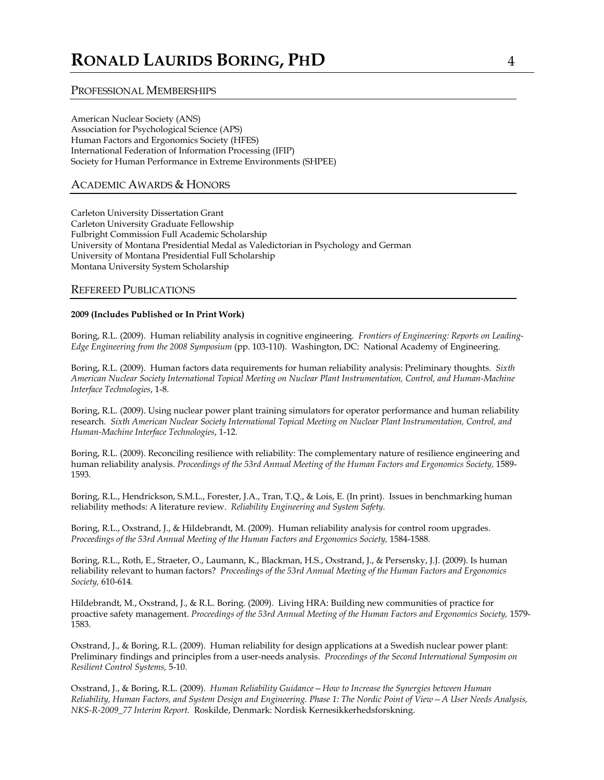## PROFESSIONAL MEMBERSHIPS

American Nuclear Society (ANS) Association for Psychological Science (APS) Human Factors and Ergonomics Society (HFES) International Federation of Information Processing (IFIP) Society for Human Performance in Extreme Environments (SHPEE)

# ACADEMIC AWARDS & HONORS

Carleton University Dissertation Grant Carleton University Graduate Fellowship Fulbright Commission Full Academic Scholarship University of Montana Presidential Medal as Valedictorian in Psychology and German University of Montana Presidential Full Scholarship Montana University System Scholarship

## REFEREED PUBLICATIONS

## **2009 (Includes Published or In Print Work)**

Boring, R.L. (2009). Human reliability analysis in cognitive engineering. *Frontiers of Engineering: Reports on Leading-Edge Engineering from the 2008 Symposium* (pp. 103-110). Washington, DC: National Academy of Engineering.

Boring, R.L. (2009). Human factors data requirements for human reliability analysis: Preliminary thoughts. *Sixth American Nuclear Society International Topical Meeting on Nuclear Plant Instrumentation, Control, and Human-Machine Interface Technologies*, 1-8.

Boring, R.L. (2009). Using nuclear power plant training simulators for operator performance and human reliability research. *Sixth American Nuclear Society International Topical Meeting on Nuclear Plant Instrumentation, Control, and Human-Machine Interface Technologies*, 1-12.

Boring, R.L. (2009). Reconciling resilience with reliability: The complementary nature of resilience engineering and human reliability analysis. *Proceedings of the 53rd Annual Meeting of the Human Factors and Ergonomics Society,* 1589- 1593*.*

Boring, R.L., Hendrickson, S.M.L., Forester, J.A., Tran, T.Q., & Lois, E. (In print). Issues in benchmarking human reliability methods: A literature review. *Reliability Engineering and System Safety.*

Boring, R.L., Oxstrand, J., & Hildebrandt, M. (2009). Human reliability analysis for control room upgrades. *Proceedings of the 53rd Annual Meeting of the Human Factors and Ergonomics Society,* 1584-1588*.*

Boring, R.L., Roth, E., Straeter, O., Laumann, K., Blackman, H.S., Oxstrand, J., & Persensky, J.J. (2009). Is human reliability relevant to human factors? *Proceedings of the 53rd Annual Meeting of the Human Factors and Ergonomics Society,* 610-614*.*

Hildebrandt, M., Oxstrand, J., & R.L. Boring. (2009). Living HRA: Building new communities of practice for proactive safety management. *Proceedings of the 53rd Annual Meeting of the Human Factors and Ergonomics Society,* 1579- 1583.

Oxstrand, J., & Boring, R.L. (2009). Human reliability for design applications at a Swedish nuclear power plant: Preliminary findings and principles from a user-needs analysis. *Proceedings of the Second International Symposim on Resilient Control Systems,* 5-10.

Oxstrand, J., & Boring, R.L. (2009). *Human Reliability Guidance—How to Increase the Synergies between Human Reliability, Human Factors, and System Design and Engineering. Phase 1: The Nordic Point of View—A User Needs Analysis, NKS-R-2009\_77 Interim Report.* Roskilde, Denmark: Nordisk Kernesikkerhedsforskning.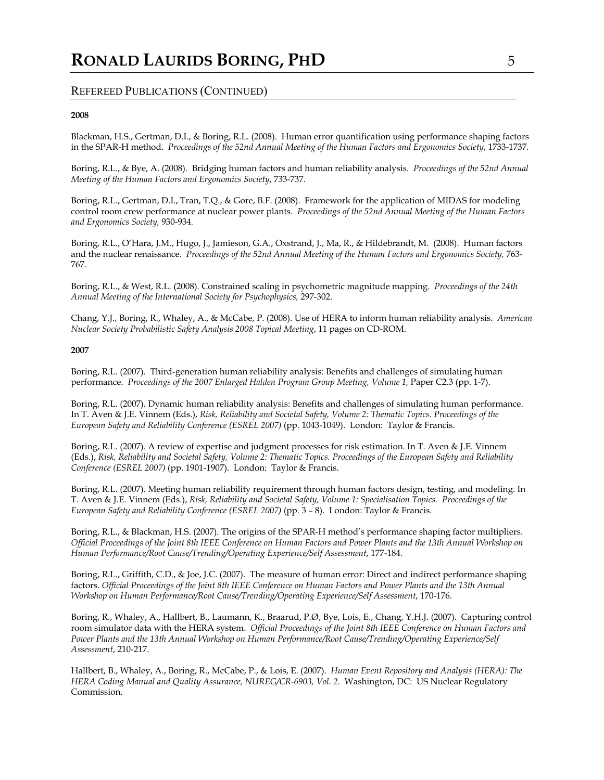## **2008**

Blackman, H.S., Gertman, D.I., & Boring, R.L. (2008). Human error quantification using performance shaping factors in the SPAR-H method. *Proceedings of the 52nd Annual Meeting of the Human Factors and Ergonomics Society*, 1733-1737*.*

Boring, R.L., & Bye, A. (2008). Bridging human factors and human reliability analysis. *Proceedings of the 52nd Annual Meeting of the Human Factors and Ergonomics Society*, 733-737*.*

Boring, R.L., Gertman, D.I., Tran, T.Q., & Gore, B.F. (2008). Framework for the application of MIDAS for modeling control room crew performance at nuclear power plants. *Proceedings of the 52nd Annual Meeting of the Human Factors and Ergonomics Society,* 930-934*.*

Boring, R.L., O'Hara, J.M., Hugo, J., Jamieson, G.A., Oxstrand, J., Ma, R., & Hildebrandt, M. (2008). Human factors and the nuclear renaissance. *Proceedings of the 52nd Annual Meeting of the Human Factors and Ergonomics Society,* 763- 767*.*

Boring, R.L., & West, R.L. (2008). Constrained scaling in psychometric magnitude mapping. *Proceedings of the 24th Annual Meeting of the International Society for Psychophysics,* 297-302.

Chang, Y.J., Boring, R., Whaley, A., & McCabe, P. (2008). Use of HERA to inform human reliability analysis. *American Nuclear Society Probabilistic Safety Analysis 2008 Topical Meeting*, 11 pages on CD-ROM.

## **2007**

Boring, R.L. (2007). Third-generation human reliability analysis: Benefits and challenges of simulating human performance. Proceedings of the 2007 Enlarged Halden Program Group Meeting, Volume 1, Paper C2.3 (pp. 1-7).

Boring, R.L. (2007). Dynamic human reliability analysis: Benefits and challenges of simulating human performance. In T. Aven & J.E. Vinnem (Eds.), *Risk, Reliability and Societal Safety, Volume 2: Thematic Topics. Proceedings of the European Safety and Reliability Conference (ESREL 2007)* (pp. 1043-1049). London: Taylor & Francis.

Boring, R.L. (2007). A review of expertise and judgment processes for risk estimation. In T. Aven & J.E. Vinnem (Eds.), *Risk, Reliability and Societal Safety, Volume 2: Thematic Topics. Proceedings of the European Safety and Reliability Conference (ESREL 2007)* (pp. 1901-1907). London: Taylor & Francis.

Boring, R.L. (2007). Meeting human reliability requirement through human factors design, testing, and modeling. In T. Aven & J.E. Vinnem (Eds.), *Risk, Reliability and Societal Safety, Volume 1: Specialisation Topics. Proceedings of the European Safety and Reliability Conference (ESREL 2007)* (pp. 3 – 8). London: Taylor & Francis.

Boring, R.L., & Blackman, H.S. (2007). The origins of the SPAR-H method's performance shaping factor multipliers. *Official Proceedings of the Joint 8th IEEE Conference on Human Factors and Power Plants and the 13th Annual Workshop on Human Performance/Root Cause/Trending/Operating Experience/Self Assessment*, 177-184*.*

Boring, R.L., Griffith, C.D., & Joe, J.C. (2007). The measure of human error: Direct and indirect performance shaping factors. *Official Proceedings of the Joint 8th IEEE Conference on Human Factors and Power Plants and the 13th Annual Workshop on Human Performance/Root Cause/Trending/Operating Experience/Self Assessment*, 170-176.

Boring, R., Whaley, A., Hallbert, B., Laumann, K., Braarud, P.Ø, Bye, Lois, E., Chang, Y.H.J. (2007). Capturing control room simulator data with the HERA system. *Official Proceedings of the Joint 8th IEEE Conference on Human Factors and Power Plants and the 13th Annual Workshop on Human Performance/Root Cause/Trending/Operating Experience/Self Assessment*, 210-217.

Hallbert, B., Whaley, A., Boring, R., McCabe, P., & Lois, E. (2007). *Human Event Repository and Analysis (HERA): The HERA Coding Manual and Quality Assurance, NUREG/CR-6903, Vol. 2*. Washington, DC: US Nuclear Regulatory Commission.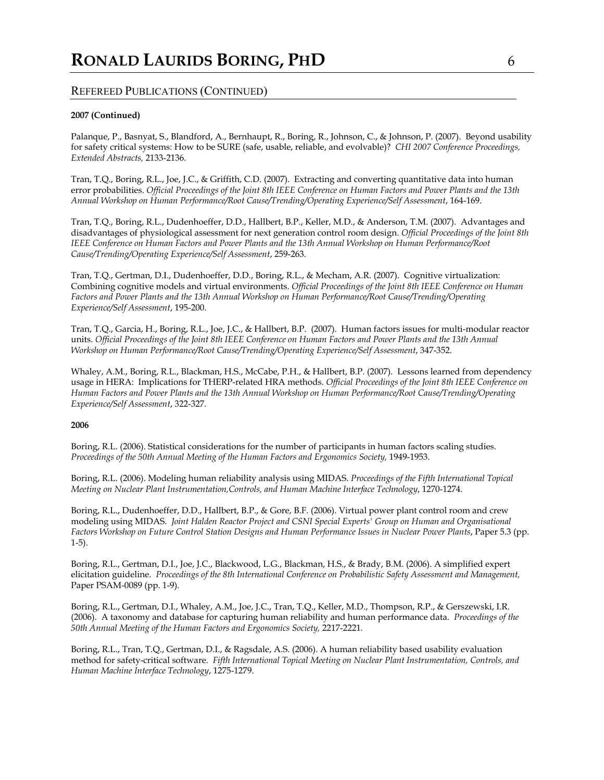## **2007 (Continued)**

Palanque, P., Basnyat, S., Blandford, A., Bernhaupt, R., Boring, R., Johnson, C., & Johnson, P. (2007). Beyond usability for safety critical systems: How to be SURE (safe, usable, reliable, and evolvable)? *CHI 2007 Conference Proceedings, Extended Abstracts,* 2133-2136.

Tran, T.Q., Boring, R.L., Joe, J.C., & Griffith, C.D. (2007). Extracting and converting quantitative data into human error probabilities. *Official Proceedings of the Joint 8th IEEE Conference on Human Factors and Power Plants and the 13th Annual Workshop on Human Performance/Root Cause/Trending/Operating Experience/Self Assessment*, 164-169.

Tran, T.Q., Boring, R.L., Dudenhoeffer, D.D., Hallbert, B.P., Keller, M.D., & Anderson, T.M. (2007). Advantages and disadvantages of physiological assessment for next generation control room design. *Official Proceedings of the Joint 8th IEEE Conference on Human Factors and Power Plants and the 13th Annual Workshop on Human Performance/Root Cause/Trending/Operating Experience/Self Assessment*, 259-263.

Tran, T.Q., Gertman, D.I., Dudenhoeffer, D.D., Boring, R.L., & Mecham, A.R. (2007). Cognitive virtualization: Combining cognitive models and virtual environments. *Official Proceedings of the Joint 8th IEEE Conference on Human Factors and Power Plants and the 13th Annual Workshop on Human Performance/Root Cause/Trending/Operating Experience/Self Assessment*, 195-200.

Tran, T.Q., Garcia, H., Boring, R.L., Joe, J.C., & Hallbert, B.P. (2007). Human factors issues for multi-modular reactor units. *Official Proceedings of the Joint 8th IEEE Conference on Human Factors and Power Plants and the 13th Annual Workshop on Human Performance/Root Cause/Trending/Operating Experience/Self Assessment*, 347-352*.*

Whaley, A.M., Boring, R.L., Blackman, H.S., McCabe, P.H., & Hallbert, B.P. (2007). Lessons learned from dependency usage in HERA: Implications for THERP-related HRA methods. *Official Proceedings of the Joint 8th IEEE Conference on Human Factors and Power Plants and the 13th Annual Workshop on Human Performance/Root Cause/Trending/Operating Experience/Self Assessment*, 322-327*.*

#### **2006**

Boring, R.L. (2006). Statistical considerations for the number of participants in human factors scaling studies. Proceedings of the 50th Annual Meeting of the Human Factors and Ergonomics Society, 1949-1953.

Boring, R.L. (2006). Modeling human reliability analysis using MIDAS. *Proceedings of the Fifth International Topical Meeting on Nuclear Plant Instrumentation,Controls, and Human Machine Interface Technology*, 1270-1274.

Boring, R.L., Dudenhoeffer, D.D., Hallbert, B.P., & Gore, B.F. (2006). Virtual power plant control room and crew modeling using MIDAS. *Joint Halden Reactor Project and CSNI Special Experts' Group on Human and Organisational Factors Workshop on Future Control Station Designs and Human Performance Issues in Nuclear Power Plants*, Paper 5.3 (pp. 1-5).

Boring, R.L., Gertman, D.I., Joe, J.C., Blackwood, L.G., Blackman, H.S., & Brady, B.M. (2006). A simplified expert elicitation guideline. *Proceedings of the 8th International Conference on Probabilistic Safety Assessment and Management,*  Paper PSAM-0089 (pp. 1-9).

Boring, R.L., Gertman, D.I., Whaley, A.M., Joe, J.C., Tran, T.Q., Keller, M.D., Thompson, R.P., & Gerszewski, I.R. (2006). A taxonomy and database for capturing human reliability and human performance data. *Proceedings of the 50th Annual Meeting of the Human Factors and Ergonomics Society,* 2217-2221*.*

Boring, R.L., Tran, T.Q., Gertman, D.I., & Ragsdale, A.S. (2006). A human reliability based usability evaluation method for safety-critical software. *Fifth International Topical Meeting on Nuclear Plant Instrumentation, Controls, and Human Machine Interface Technology*, 1275-1279.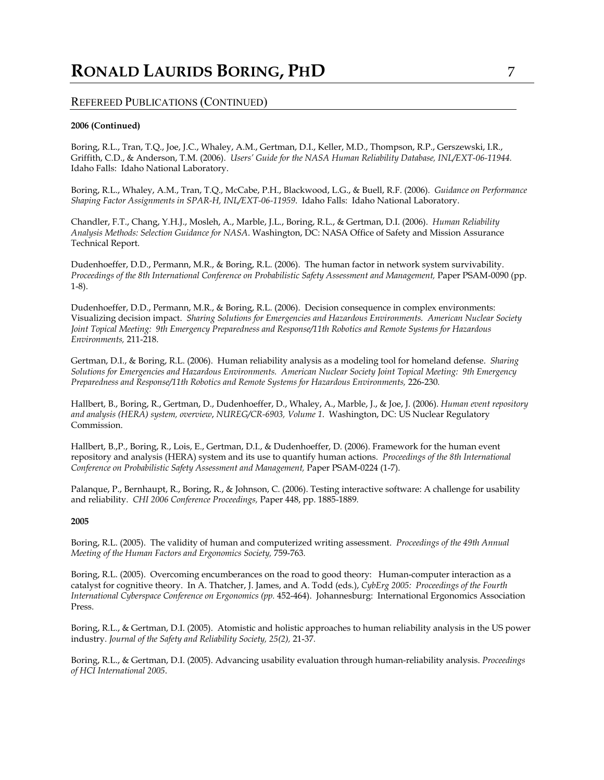# **RONALD LAURIDS BORING, PHD** 7

# REFEREED PUBLICATIONS (CONTINUED)

## **2006 (Continued)**

Boring, R.L., Tran, T.Q., Joe, J.C., Whaley, A.M., Gertman, D.I., Keller, M.D., Thompson, R.P., Gerszewski, I.R., Griffith, C.D., & Anderson, T.M. (2006). *Users' Guide for the NASA Human Reliability Database, INL/EXT-06-11944.* Idaho Falls: Idaho National Laboratory.

Boring, R.L., Whaley, A.M., Tran, T.Q., McCabe, P.H., Blackwood, L.G., & Buell, R.F. (2006). *Guidance on Performance Shaping Factor Assignments in SPAR-H, INL/EXT-06-11959*. Idaho Falls: Idaho National Laboratory.

Chandler, F.T., Chang, Y.H.J., Mosleh, A., Marble, J.L., Boring, R.L., & Gertman, D.I. (2006). *Human Reliability Analysis Methods: Selection Guidance for NASA*. Washington, DC: NASA Office of Safety and Mission Assurance Technical Report.

Dudenhoeffer, D.D., Permann, M.R., & Boring, R.L. (2006). The human factor in network system survivability. *Proceedings of the 8th International Conference on Probabilistic Safety Assessment and Management,* Paper PSAM-0090 (pp. 1-8).

Dudenhoeffer, D.D., Permann, M.R., & Boring, R.L. (2006). Decision consequence in complex environments: Visualizing decision impact. *Sharing Solutions for Emergencies and Hazardous Environments. American Nuclear Society Joint Topical Meeting: 9th Emergency Preparedness and Response/11th Robotics and Remote Systems for Hazardous Environments,* 211-218.

Gertman, D.I., & Boring, R.L. (2006). Human reliability analysis as a modeling tool for homeland defense. *Sharing Solutions for Emergencies and Hazardous Environments. American Nuclear Society Joint Topical Meeting: 9th Emergency Preparedness and Response*/11th Robotics and Remote Systems for Hazardous Environments, 226-230.

Hallbert, B., Boring, R., Gertman, D., Dudenhoeffer, D., Whaley, A., Marble, J., & Joe, J. (2006). *Human event repository and analysis (HERA) system, overview*, *NUREG/CR-6903, Volume 1*. Washington, DC: US Nuclear Regulatory Commission.

Hallbert, B.,P., Boring, R., Lois, E., Gertman, D.I., & Dudenhoeffer, D. (2006). Framework for the human event repository and analysis (HERA) system and its use to quantify human actions. *Proceedings of the 8th International Conference on Probabilistic Safety Assessment and Management,* Paper PSAM-0224 (1-7).

Palanque, P., Bernhaupt, R., Boring, R., & Johnson, C. (2006). Testing interactive software: A challenge for usability and reliability. *CHI 2006 Conference Proceedings,* Paper 448, pp. 1885-1889*.*

#### **2005**

Boring, R.L. (2005). The validity of human and computerized writing assessment. *Proceedings of the 49th Annual Meeting of the Human Factors and Ergonomics Society,* 759-763*.*

Boring, R.L. (2005). Overcoming encumberances on the road to good theory: Human-computer interaction as a catalyst for cognitive theory. In A. Thatcher, J. James, and A. Todd (eds.), *CybErg 2005: Proceedings of the Fourth International Cyberspace Conference on Ergonomics (pp. 452-464). Johannesburg: International Ergonomics Association* Press.

Boring, R.L., & Gertman, D.I. (2005). Atomistic and holistic approaches to human reliability analysis in the US power industry. *Journal of the Safety and Reliability Society, 25(2),* 21-37*.*

Boring, R.L., & Gertman, D.I. (2005). Advancing usability evaluation through human-reliability analysis. *Proceedings of HCI International 2005*.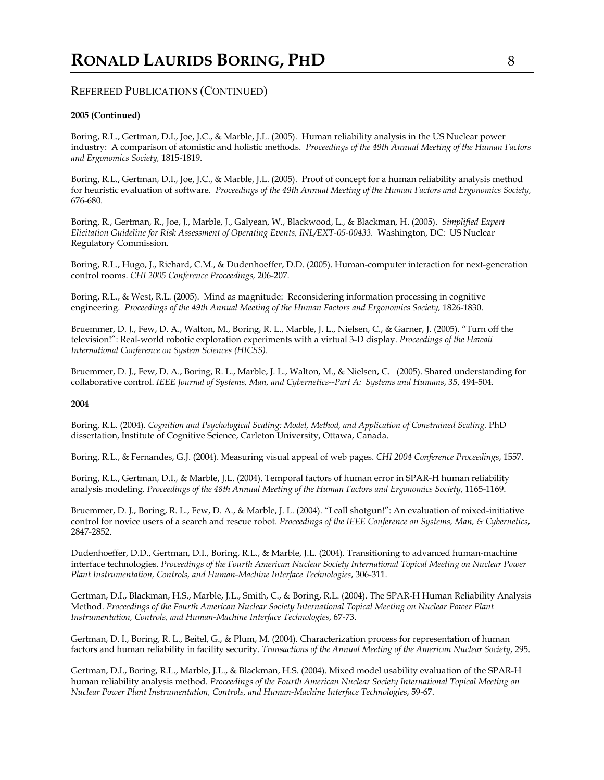## **2005 (Continued)**

Boring, R.L., Gertman, D.I., Joe, J.C., & Marble, J.L. (2005). Human reliability analysis in the US Nuclear power industry: A comparison of atomistic and holistic methods. *Proceedings of the 49th Annual Meeting of the Human Factors and Ergonomics Society,* 1815-1819*.*

Boring, R.L., Gertman, D.I., Joe, J.C., & Marble, J.L. (2005). Proof of concept for a human reliability analysis method for heuristic evaluation of software. *Proceedings of the 49th Annual Meeting of the Human Factors and Ergonomics Society,*  676-680*.*

Boring, R., Gertman, R., Joe, J., Marble, J., Galyean, W., Blackwood, L., & Blackman, H. (2005). *Simplified Expert Elicitation Guideline for Risk Assessment of Operating Events, INL/EXT-05-00433.* Washington, DC: US Nuclear Regulatory Commission.

Boring, R.L., Hugo, J., Richard, C.M., & Dudenhoeffer, D.D. (2005). Human-computer interaction for next-generation control rooms. *CHI 2005 Conference Proceedings,* 206-207.

Boring, R.L., & West, R.L. (2005). Mind as magnitude: Reconsidering information processing in cognitive engineering. *Proceedings of the 49th Annual Meeting of the Human Factors and Ergonomics Society,* 1826-1830.

Bruemmer, D. J., Few, D. A., Walton, M., Boring, R. L., Marble, J. L., Nielsen, C., & Garner, J. (2005). "Turn off the television!": Real-world robotic exploration experiments with a virtual 3-D display. *Proceedings of the Hawaii International Conference on System Sciences (HICSS)*.

Bruemmer, D. J., Few, D. A., Boring, R. L., Marble, J. L., Walton, M., & Nielsen, C. (2005). Shared understanding for collaborative control. *IEEE Journal of Systems, Man, and Cybernetics--Part A: Systems and Humans*, *35*, 494-504.

#### **2004**

Boring, R.L. (2004). *Cognition and Psychological Scaling: Model, Method, and Application of Constrained Scaling.* PhD dissertation, Institute of Cognitive Science, Carleton University, Ottawa, Canada.

Boring, R.L., & Fernandes, G.J. (2004). Measuring visual appeal of web pages. *CHI 2004 Conference Proceedings*, 1557.

Boring, R.L., Gertman, D.I., & Marble, J.L. (2004). Temporal factors of human error in SPAR-H human reliability analysis modeling. *Proceedings of the 48th Annual Meeting of the Human Factors and Ergonomics Society*, 1165-1169.

Bruemmer, D. J., Boring, R. L., Few, D. A., & Marble, J. L. (2004). "I call shotgun!": An evaluation of mixed-initiative control for novice users of a search and rescue robot. *Proceedings of the IEEE Conference on Systems, Man, & Cybernetics*, 2847-2852.

Dudenhoeffer, D.D., Gertman, D.I., Boring, R.L., & Marble, J.L. (2004). Transitioning to advanced human-machine interface technologies. *Proceedings of the Fourth American Nuclear Society International Topical Meeting on Nuclear Power Plant Instrumentation, Controls, and Human-Machine Interface Technologies*, 306-311.

Gertman, D.I., Blackman, H.S., Marble, J.L., Smith, C., & Boring, R.L. (2004). The SPAR-H Human Reliability Analysis Method. *Proceedings of the Fourth American Nuclear Society International Topical Meeting on Nuclear Power Plant Instrumentation, Controls, and Human-Machine Interface Technologies*, 67-73.

Gertman, D. I., Boring, R. L., Beitel, G., & Plum, M. (2004). Characterization process for representation of human factors and human reliability in facility security. *Transactions of the Annual Meeting of the American Nuclear Society*, 295.

Gertman, D.I., Boring, R.L., Marble, J.L., & Blackman, H.S. (2004). Mixed model usability evaluation of the SPAR-H human reliability analysis method. *Proceedings of the Fourth American Nuclear Society International Topical Meeting on Nuclear Power Plant Instrumentation, Controls, and Human-Machine Interface Technologies*, 59-67.